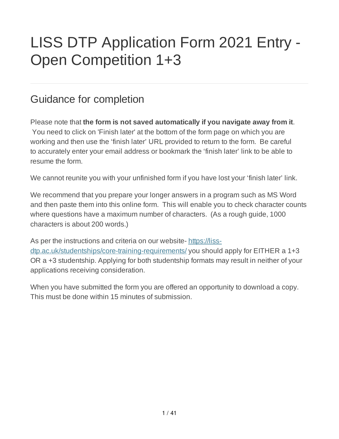# LISS DTP Application Form 2021 Entry - Open Competition 1+3

## Guidance for completion

Please note that **the form is not saved automatically if you navigate away from it**. You need to click on 'Finish later' at the bottom of the form page on which you are working and then use the 'finish later' URL provided to return to the form. Be careful to accurately enter your email address or bookmark the 'finish later' link to be able to resume the form.

We cannot reunite you with your unfinished form if you have lost your 'finish later' link.

We recommend that you prepare your longer answers in a program such as MS Word and then paste them into this online form. This will enable you to check character counts where questions have a maximum number of characters. (As a rough guide, 1000 characters is about 200 words.)

As per the instructions and criteria on our website- https://lissdtp.ac.uk/studentships/core-training-requirements/ you should apply for EITHER a 1+3 OR a +3 studentship. Applying for both studentship formats may result in neither of your applications receiving consideration.

When you have submitted the form you are offered an opportunity to download a copy. This must be done within 15 minutes of submission.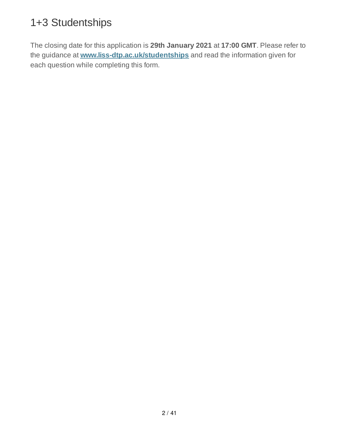## 1+3 Studentships

The closing date for this application is **29th January 2021** at **17:00 GMT**. Please refer to the guidance at **www.liss-dtp.ac.uk/studentships** and read the information given for each question while completing this form.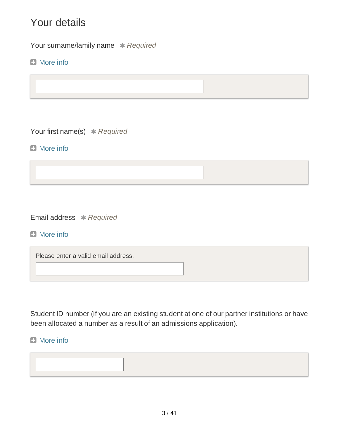## Your details

Your surname/family name \* Required

### **D** More info

Your first name(s) \* Required

#### **D** More info

Email address *Required*

#### **D** More info

Please enter a valid email address.

Student ID number (if you are an existing student at one of our partner institutions or have been allocated a number as a result of an admissions application).

#### **D** More info

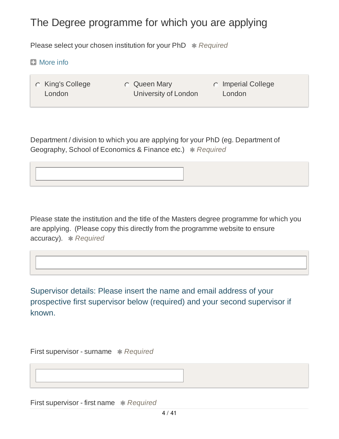## The Degree programme for which you are applying

Please select your chosen institution for your PhD  $*$  Required

### **El** More info

 $\circ$  King's College London **C** Queen Mary University of London  $\circ$  Imperial College London

Department / division to which you are applying for your PhD (eg. Department of Geography, School of Economics & Finance etc.) \* Required

Please state the institution and the title of the Masters degree programme for which you are applying. (Please copy this directly from the programme website to ensure accuracy). *Required*

Supervisor details: Please insert the name and email address of your prospective first supervisor below (required) and your second supervisor if known.

First supervisor - surname *Required*

First supervisor - first name \* Required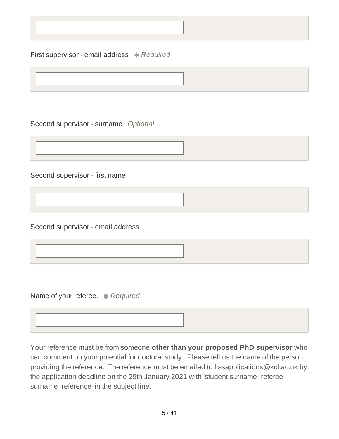First supervisor - email address *Required*

Second supervisor - surname *Optional*

Second supervisor - first name

Second supervisor - email address

Name of your referee. \* Required

Your reference must be from someone **other than your proposed PhD supervisor** who can comment on your potential for doctoral study. Please tell us the name of the person providing the reference. The reference must be emailed to lissapplications@kcl.ac.uk by the application deadline on the 29th January 2021 with 'student surname\_referee surname\_reference' in the subject line.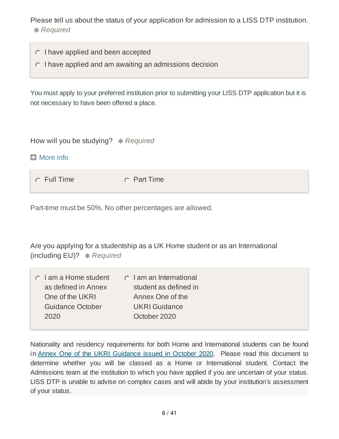Please tell us about the status of your application for admission to a LISS DTP institution. *Required*

- $\circ$  I have applied and been accepted
- $\circ$  I have applied and am awaiting an admissions decision

You must apply to your preferred institution prior to submitting your LISS DTP application but it is not necessary to have been offered a place.

How will you be studying? \* Required

**El** More info

 $\circ$  Full Time  $\circ$  Part Time

Part-time must be 50%. No other percentages are allowed.

Are you applying for a studentship as a UK Home student or as an International (including EU)? *Required*

| $\circ$ I am a Home student | $\circ$ I am an International |
|-----------------------------|-------------------------------|
| as defined in Annex         | student as defined in         |
| One of the UKRI             | Annex One of the              |
| <b>Guidance October</b>     | <b>UKRI Guidance</b>          |
| 2020                        | October 2020                  |
|                             |                               |

Nationality and residency requirements for both Home and International students can be found in Annex One of the UKRI Guidance issued in October 2020. Please read this document to determine whether you will be classed as a Home or International student. Contact the Admissions team at the institution to which you have applied if you are uncertain of your status. LISS DTP is unable to advise on complex cases and will abide by your institution's assessment of your status.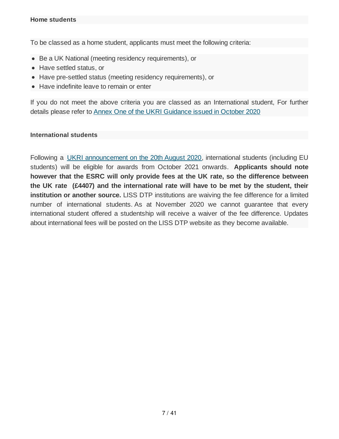#### **Home students**

To be classed as a home student, applicants must meet the following criteria:

- Be a UK National (meeting residency requirements), or
- Have settled status, or
- Have pre-settled status (meeting residency requirements), or
- Have indefinite leave to remain or enter

If you do not meet the above criteria you are classed as an International student, For further details please refer to Annex One of the UKRI Guidance issued in October 2020

#### **International students**

Following a UKRI announcement on the 20th August 2020, international students (including EU students) will be eligible for awards from October 2021 onwards. **Applicants should note however that the ESRC will only provide fees at the UK rate, so the difference between the UK rate (£4407) and the international rate will have to be met by the student, their institution or another source.** LISS DTP institutions are waiving the fee difference for a limited number of international students. As at November 2020 we cannot guarantee that every international student offered a studentship will receive a waiver of the fee difference. Updates about international fees will be posted on the LISS DTP website as they become available.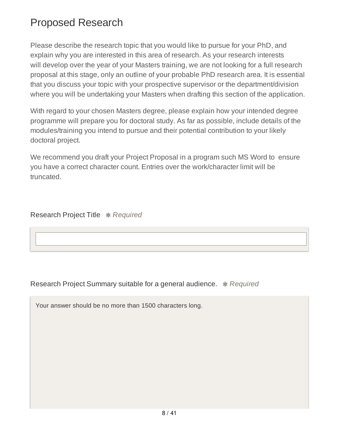### Proposed Research

Please describe the research topic that you would like to pursue for your PhD, and explain why you are interested in this area of research. As your research interests will develop over the year of your Masters training, we are not looking for a full research proposal at this stage, only an outline of your probable PhD research area. It is essential that you discuss your topic with your prospective supervisor or the department/division where you will be undertaking your Masters when drafting this section of the application.

With regard to your chosen Masters degree, please explain how your intended degree programme will prepare you for doctoral study. As far as possible, include details of the modules/training you intend to pursue and their potential contribution to your likely doctoral project.

We recommend you draft your Project Proposal in a program such MS Word to ensure you have a correct character count. Entries over the work/character limit will be truncated.

Research Project Title *Required*

Research Project Summary suitable for a general audience. \* Required

Your answer should be no more than 1500 characters long.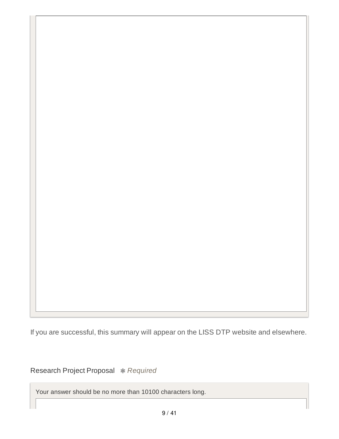If you are successful, this summary will appear on the LISS DTP website and elsewhere.

Research Project Proposal *Required*

Your answer should be no more than 10100 characters long.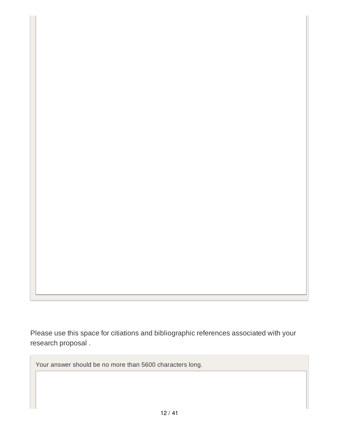Please use this space for citiations and bibliographic references associated with your research proposal .

Your answer should be no more than 5600 characters long.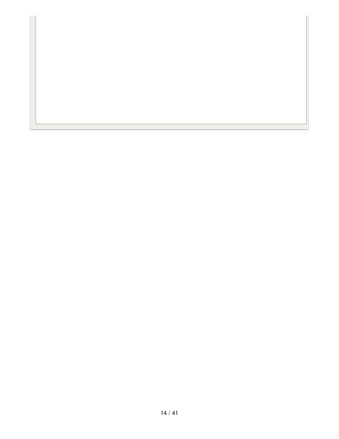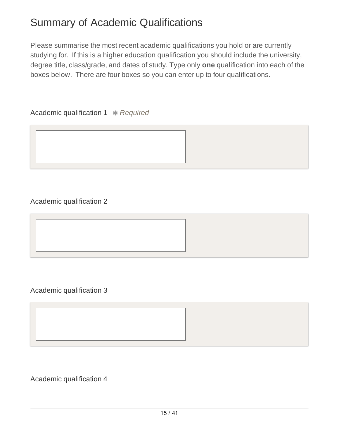## Summary of Academic Qualifications

Please summarise the most recent academic qualifications you hold or are currently studying for. If this is a higher education qualification you should include the university, degree title, class/grade, and dates of study. Type only **one** qualification into each of the boxes below. There are four boxes so you can enter up to four qualifications.

#### Academic qualification 1 **\*** Required



### Academic qualification 2

### Academic qualification 3

Academic qualification 4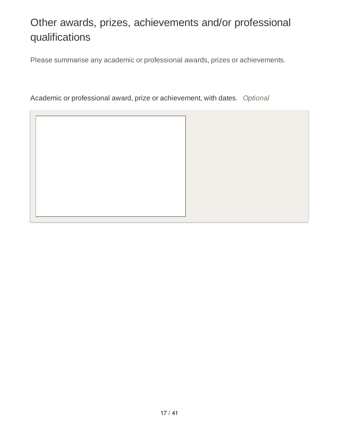## Other awards, prizes, achievements and/or professional qualifications

Please summarise any academic or professional awards, prizes or achievements.

Academic or professional award, prize or achievement, with dates. *Optional*

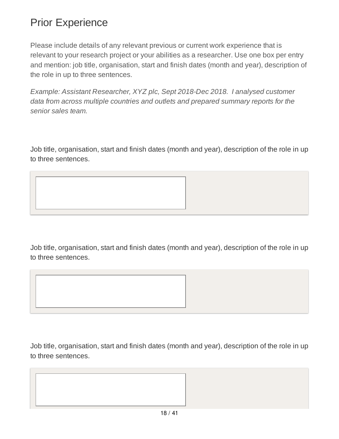## Prior Experience

Please include details of any relevant previous or current work experience that is relevant to your research project or your abilities as a researcher. Use one box per entry and mention: job title, organisation, start and finish dates (month and year), description of the role in up to three sentences.

*Example: Assistant Researcher, XYZ plc, Sept 2018-Dec 2018. I analysed customer data from across multiple countries and outlets and prepared summary reports for the senior sales team.*

Job title, organisation, start and finish dates (month and year), description of the role in up to three sentences.

Job title, organisation, start and finish dates (month and year), description of the role in up to three sentences.

Job title, organisation, start and finish dates (month and year), description of the role in up to three sentences.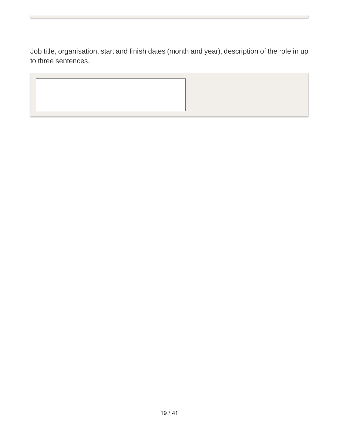Job title, organisation, start and finish dates (month and year), description of the role in up to three sentences.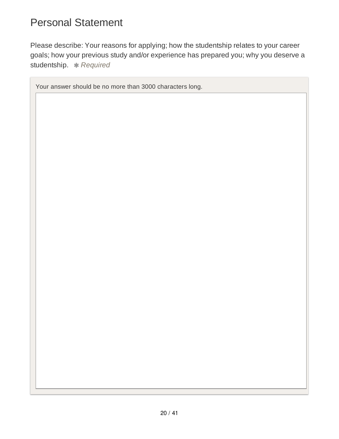### Personal Statement

Please describe: Your reasons for applying; how the studentship relates to your career goals; how your previous study and/or experience has prepared you; why you deserve a studentship. **\*** Required

Your answer should be no more than 3000 characters long.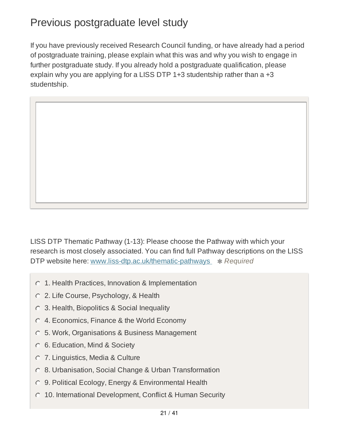## Previous postgraduate level study

If you have previously received Research Council funding, or have already had a period of postgraduate training, please explain what this was and why you wish to engage in further postgraduate study. If you already hold a postgraduate qualification, please explain why you are applying for a LISS DTP 1+3 studentship rather than a +3 studentship.

LISS DTP Thematic Pathway (1-13): Please choose the Pathway with which your research is most closely associated. You can find full Pathway descriptions on the LISS DTP website here: www.liss-dtp.ac.uk/thematic-pathways \*Required

- 1. Health Practices, Innovation & Implementation
- 2. Life Course, Psychology, & Health
- 3. Health, Biopolitics & Social Inequality
- 4. Economics, Finance & the World Economy
- 5. Work, Organisations & Business Management
- 6. Education, Mind & Society
- 7. Linguistics, Media & Culture
- 8. Urbanisation, Social Change & Urban Transformation
- 9. Political Ecology, Energy & Environmental Health
- 10. International Development, Conflict & Human Security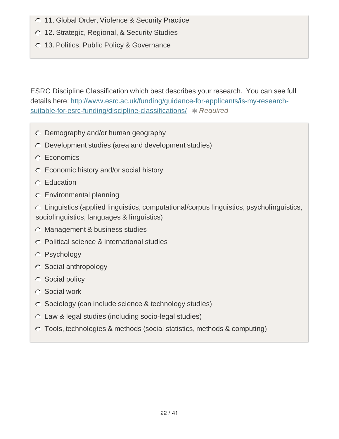- **11. Global Order, Violence & Security Practice**
- 12. Strategic, Regional, & Security Studies
- **13. Politics, Public Policy & Governance**

ESRC Discipline Classification which best describes your research. You can see full details here: http://www.esrc.ac.uk/funding/guidance-for-applicants/is-my-researchsuitable-for-esrc-funding/discipline-classifications/ **\*** Required

- $\circ$  Demography and/or human geography
- $\circ$  Development studies (area and development studies)
- **C** Economics
- $\circ$  Economic history and/or social history
- Education
- $C$  Environmental planning
- Linguistics (applied linguistics, computational/corpus linguistics, psycholinguistics, sociolinguistics, languages & linguistics)
- Management & business studies
- Political science & international studies
- Psychology
- Social anthropology
- $\circ$  Social policy
- Social work
- $\circ$  Sociology (can include science & technology studies)
- Law & legal studies (including socio-legal studies)
- Tools, technologies & methods (social statistics, methods & computing)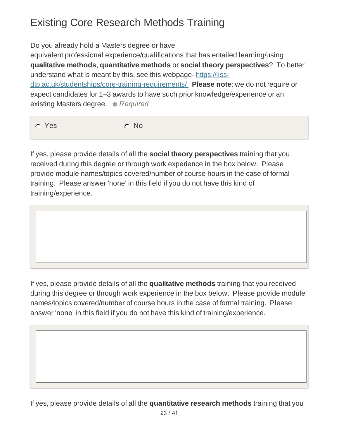## Existing Core Research Methods Training

Do you already hold a Masters degree or have

equivalent professional experience/qualifications that has entailed learning/using **qualitative methods**, **quantitative methods** or **social theory perspectives**? To better understand what is meant by this, see this webpage- https://lissdtp.ac.uk/studentships/core-training-requirements/ **Please note**: we do not require or expect candidates for 1+3 awards to have such prior knowledge/experience or an existing Masters degree. *Required*

C Yes C No

If yes, please provide details of all the **social theory perspectives** training that you received during this degree or through work experience in the box below. Please provide module names/topics covered/number of course hours in the case of formal training. Please answer 'none' in this field if you do not have this kind of training/experience.

If yes, please provide details of all the **qualitative methods** training that you received during this degree or through work experience in the box below. Please provide module names/topics covered/number of course hours in the case of formal training. Please answer 'none' in this field if you do not have this kind of training/experience.

If yes, please provide details of all the **quantitative research methods** training that you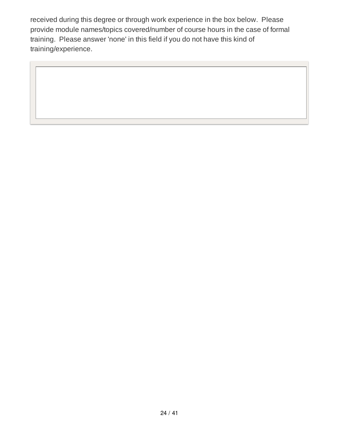received during this degree or through work experience in the box below. Please provide module names/topics covered/number of course hours in the case of formal training. Please answer 'none' in this field if you do not have this kind of training/experience.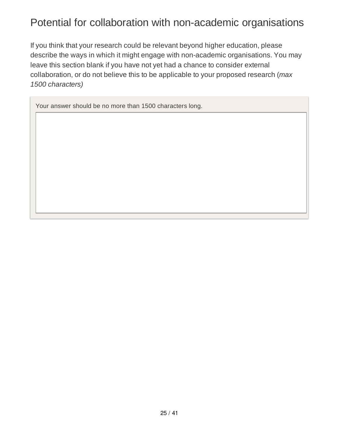## Potential for collaboration with non-academic organisations

If you think that your research could be relevant beyond higher education, please describe the ways in which it might engage with non-academic organisations. You may leave this section blank if you have not yet had a chance to consider external collaboration, or do not believe this to be applicable to your proposed research (*max 1500 characters)*

Your answer should be no more than 1500 characters long.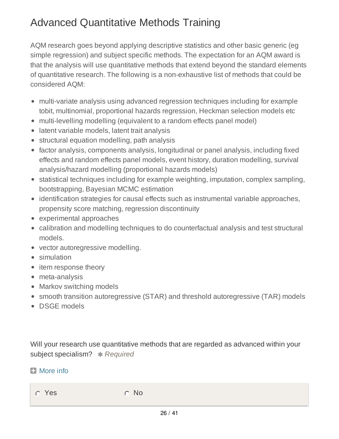## Advanced Quantitative Methods Training

AQM research goes beyond applying descriptive statistics and other basic generic (eg simple regression) and subject specific methods. The expectation for an AQM award is that the analysis will use quantitative methods that extend beyond the standard elements of quantitative research. The following is a non-exhaustive list of methods that could be considered AQM:

- multi-variate analysis using advanced regression techniques including for example tobit, multinomial, proportional hazards regression, Heckman selection models etc
- multi-levelling modelling (equivalent to a random effects panel model)
- latent variable models, latent trait analysis
- structural equation modelling, path analysis
- factor analysis, components analysis, longitudinal or panel analysis, including fixed effects and random effects panel models, event history, duration modelling, survival analysis/hazard modelling (proportional hazards models)
- statistical techniques including for example weighting, imputation, complex sampling, bootstrapping, Bayesian MCMC estimation
- identification strategies for causal effects such as instrumental variable approaches, propensity score matching, regression discontinuity
- experimental approaches
- calibration and modelling techniques to do counterfactual analysis and test structural models.
- vector autoregressive modelling.
- simulation
- item response theory
- meta-analysis
- Markov switching models
- smooth transition autoregressive (STAR) and threshold autoregressive (TAR) models
- DSGE models

Will your research use quantitative methods that are regarded as advanced within your subject specialism? \* Required

### **El** More info

|  | n Yes |  | $\circ$ No |
|--|-------|--|------------|
|--|-------|--|------------|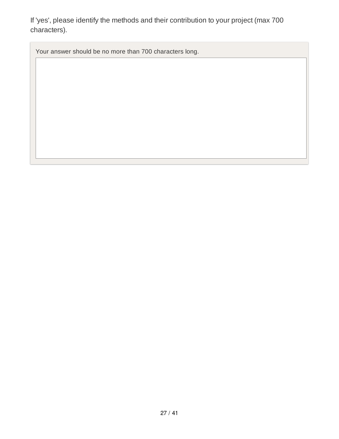If 'yes', please identify the methods and their contribution to your project (max 700 characters).

Your answer should be no more than 700 characters long.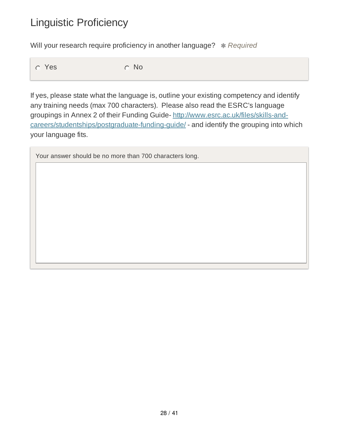## Linguistic Proficiency

Will your research require proficiency in another language? \* Required

C Yes C No

If yes, please state what the language is, outline your existing competency and identify any training needs (max 700 characters). Please also read the ESRC's language groupings in Annex 2 of their Funding Guide- http://www.esrc.ac.uk/files/skills-andcareers/studentships/postgraduate-funding-guide/ - and identify the grouping into which your language fits.

Your answer should be no more than 700 characters long.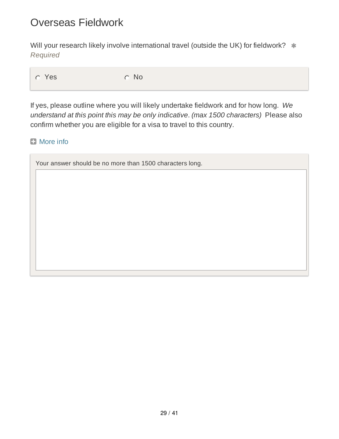### Overseas Fieldwork

Will your research likely involve international travel (outside the UK) for fieldwork?  $*$ *Required*

 $O$  Yes  $O$  No

If yes, please outline where you will likely undertake fieldwork and for how long. *We understand at this point this may be only indicative*. *(max 1500 characters)* Please also confirm whether you are eligible for a visa to travel to this country.

### **D** More info

Your answer should be no more than 1500 characters long.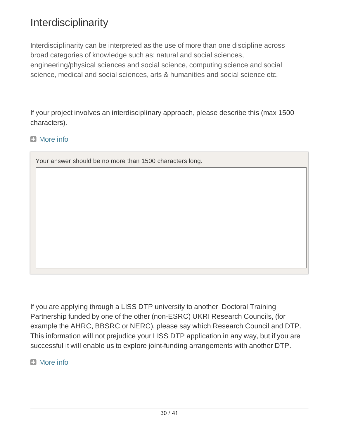## Interdisciplinarity

Interdisciplinarity can be interpreted as the use of more than one discipline across broad categories of knowledge such as: natural and social sciences, engineering/physical sciences and social science, computing science and social science, medical and social sciences, arts & humanities and social science etc.

If your project involves an interdisciplinary approach, please describe this (max 1500 characters).

**El** More info

Your answer should be no more than 1500 characters long.

If you are applying through a LISS DTP university to another Doctoral Training Partnership funded by one of the other (non-ESRC) UKRI Research Councils, (for example the AHRC, BBSRC or NERC), please say which Research Council and DTP. This information will not prejudice your LISS DTP application in any way, but if you are successful it will enable us to explore joint-funding arrangements with another DTP.

**D** More info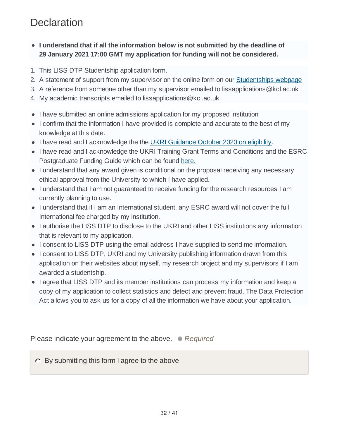## **Declaration**

- **I understand that if all the information below is not submitted by the deadline of 29 January 2021 17:00 GMT my application for funding will not be considered.**
- 1. This LISS DTP Studentship application form.
- 2. A statement of support from my supervisor on the online form on our Studentships webpage
- 3. A reference from someone other than my supervisor emailed to lissapplications@kcl.ac.uk
- 4. My academic transcripts emailed to lissapplications@kcl.ac.uk
- I have submitted an online admissions application for my proposed institution
- I confirm that the information I have provided is complete and accurate to the best of my knowledge at this date.
- I have read and I acknowledge the the UKRI Guidance October 2020 on eligibility.
- I have read and I acknowledge the UKRI Training Grant Terms and Conditions and the ESRC Postgraduate Funding Guide which can be found here.
- I understand that any award given is conditional on the proposal receiving any necessary ethical approval from the University to which I have applied.
- I understand that I am not guaranteed to receive funding for the research resources I am currently planning to use.
- I understand that if I am an International student, any ESRC award will not cover the full International fee charged by my institution.
- I authorise the LISS DTP to disclose to the UKRI and other LISS institutions any information that is relevant to my application.
- I consent to LISS DTP using the email address I have supplied to send me information.
- I consent to LISS DTP, UKRI and my University publishing information drawn from this application on their websites about myself, my research project and my supervisors if I am awarded a studentship.
- I agree that LISS DTP and its member institutions can process my information and keep a copy of my application to collect statistics and detect and prevent fraud. The Data Protection Act allows you to ask us for a copy of all the information we have about your application.

Please indicate your agreement to the above. \* Required

**By submitting this form I agree to the above**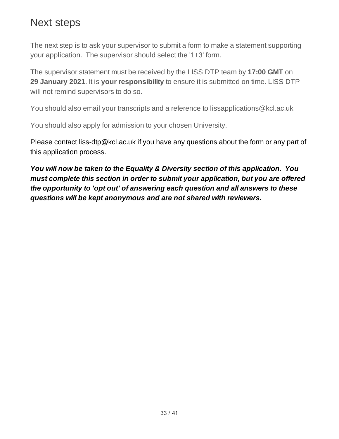### Next steps

The next step is to ask your supervisor to submit a form to make a statement supporting your application. The supervisor should select the '1+3' form.

The supervisor statement must be received by the LISS DTP team by **17:00 GMT** on **29 January 2021**. It is **your responsibility** to ensure it is submitted on time. LISS DTP will not remind supervisors to do so.

You should also email your transcripts and a reference to lissapplications@kcl.ac.uk

You should also apply for admission to your chosen University.

Please contact liss-dtp@kcl.ac.uk if you have any questions about the form or any part of this application process.

*You will now be taken to the Equality & Diversity section of this application. You must complete this section in order to submit your application, but you are offered the opportunity to 'opt out' of answering each question and all answers to these questions will be kept anonymous and are not shared with reviewers.*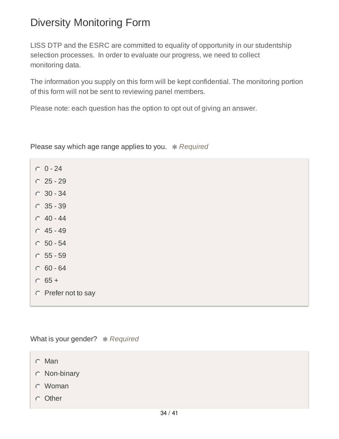## Diversity Monitoring Form

LISS DTP and the ESRC are committed to equality of opportunity in our studentship selection processes. In order to evaluate our progress, we need to collect monitoring data.

The information you supply on this form will be kept confidential. The monitoring portion of this form will not be sent to reviewing panel members.

Please note: each question has the option to opt out of giving an answer.

Please say which age range applies to you.  $*$  Required

| $\subset$ | $0 - 24$  |
|-----------|-----------|
| $\subset$ | $25 - 29$ |
| $\hat{C}$ | $30 - 34$ |
| $\subset$ | $35 - 39$ |
| $\subset$ | $40 - 44$ |
| $\subset$ | 45 - 49   |
| $\subset$ | $50 - 54$ |
| $\subset$ | $55 - 59$ |
| $\subset$ | $60 - 64$ |
| $\hat{C}$ | $65 +$    |

 $\circ$  Prefer not to say

What is your gender? **\*** Required

| $\subset$ | Man |
|-----------|-----|
|           |     |

- Non-binary
- Woman
- Other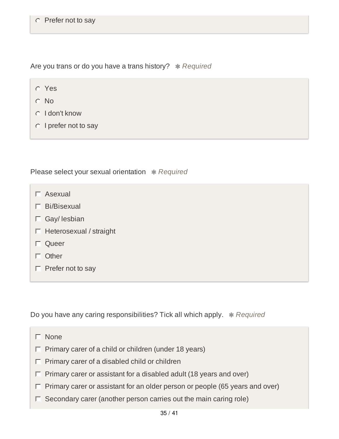Are you trans or do you have a trans history?  $*$  Required

- Yes
- C No
- I don't know
- $\circ$  I prefer not to say

Please select your sexual orientation \* Required

- $\Gamma$  Asexual
- Bi/Bisexual
- $\Box$  Gay/ lesbian
- $\Box$  Heterosexual / straight
- Queer
- Other
- $\Box$  Prefer not to say

Do you have any caring responsibilities? Tick all which apply. \* Required

- $\Gamma$  None
- $\Box$  Primary carer of a child or children (under 18 years)
- $\Box$  Primary carer of a disabled child or children
- $\Box$  Primary carer or assistant for a disabled adult (18 years and over)
- $\Box$  Primary carer or assistant for an older person or people (65 years and over)
- $\Box$  Secondary carer (another person carries out the main caring role)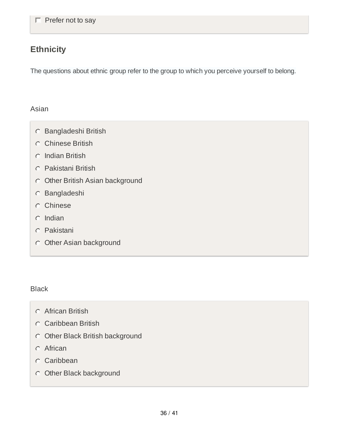### **Ethnicity**

The questions about ethnic group refer to the group to which you perceive yourself to belong.

#### Asian

- **C** Bangladeshi British
- C Chinese British
- $\circ$  Indian British
- Pakistani British
- Other British Asian background
- **C** Bangladeshi
- C Chinese
- $O$  Indian
- Pakistani
- Other Asian background

### **Black**

- African British
- **C** Caribbean British
- Other Black British background
- African
- Caribbean
- Other Black background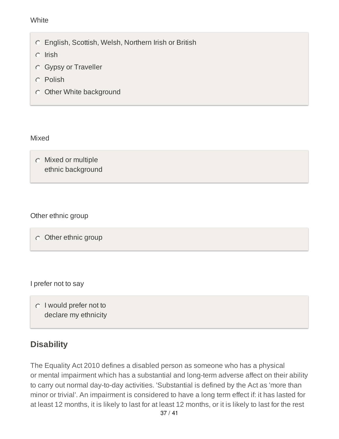**White** 

English, Scottish, Welsh, Northern Irish or British

 $C$  Irish

- Gypsy or Traveller
- Polish
- Other White background

Mixed

 $\circ$  Mixed or multiple ethnic background

Other ethnic group

 $\circ$  Other ethnic group

I prefer not to say

I would prefer not to declare my ethnicity

### **Disability**

The Equality Act 2010 defines a disabled person as someone who has a physical or mental impairment which has a substantial and long-term adverse affect on their ability to carry out normal day-to-day activities. 'Substantial is defined by the Act as 'more than minor or trivial'. An impairment is considered to have a long term effect if: it has lasted for at least 12 months, it is likely to last for at least 12 months, or it is likely to last for the rest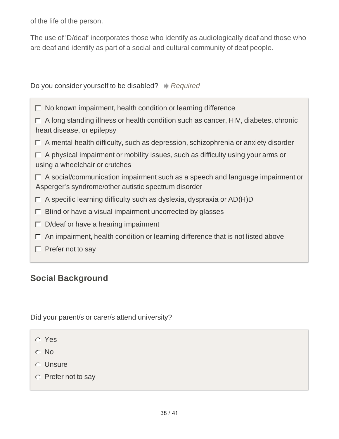of the life of the person.

The use of 'D/deaf' incorporates those who identify as audiologically deaf and those who are deaf and identify as part of a social and cultural community of deaf people.

Do you consider yourself to be disabled? \* Required

 $\Gamma$  No known impairment, health condition or learning difference

 $\Box$  A long standing illness or health condition such as cancer, HIV, diabetes, chronic heart disease, or epilepsy

 $\Box$  A mental health difficulty, such as depression, schizophrenia or anxiety disorder

 $\Box$  A physical impairment or mobility issues, such as difficulty using your arms or using a wheelchair or crutches

 $\Gamma$  A social/communication impairment such as a speech and language impairment or Asperger's syndrome/other autistic spectrum disorder

- $\Box$  A specific learning difficulty such as dyslexia, dyspraxia or AD(H)D
- $\Box$  Blind or have a visual impairment uncorrected by glasses
- $\Box$  D/deaf or have a hearing impairment
- $\Box$  An impairment, health condition or learning difference that is not listed above
- $\Box$  Prefer not to say

### **Social Background**

Did your parent/s or carer/s attend university?

- Yes
- C No
- **C** Unsure
- $\circ$  Prefer not to say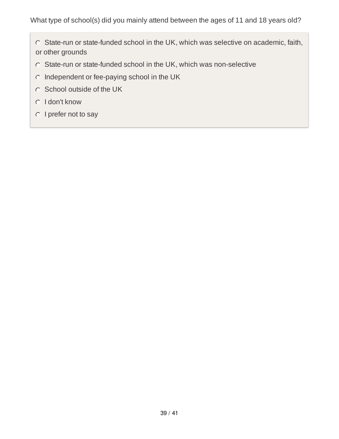What type of school(s) did you mainly attend between the ages of 11 and 18 years old?

- State-run or state-funded school in the UK, which was selective on academic, faith, or other grounds
- $\circ$  State-run or state-funded school in the UK, which was non-selective
- $\circ$  Independent or fee-paying school in the UK
- $C$  School outside of the UK
- I don't know
- $\circ$  I prefer not to say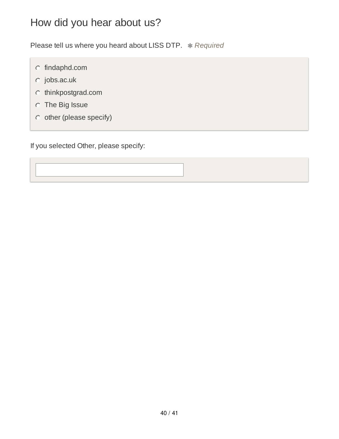## How did you hear about us?

Please tell us where you heard about LISS DTP. \* Required

- findaphd.com
- o jobs.ac.uk
- thinkpostgrad.com
- The Big Issue
- $\circ$  other (please specify)

If you selected Other, please specify: